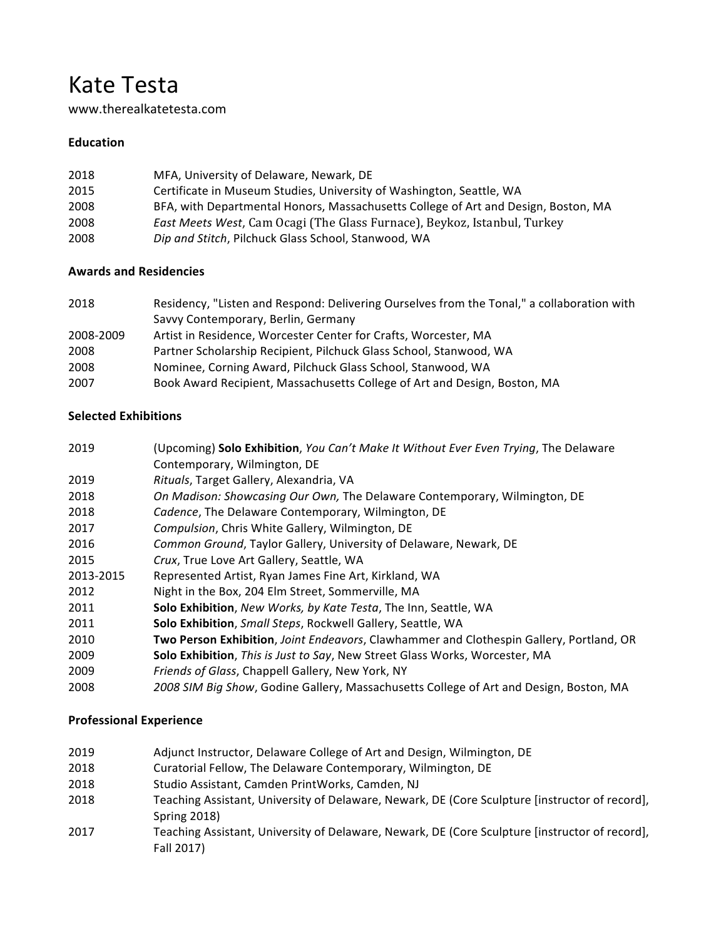# Kate Testa

www.therealkatetesta.com 

### **Education**

| 2018 | MFA, University of Delaware, Newark, DE                                            |
|------|------------------------------------------------------------------------------------|
| 2015 | Certificate in Museum Studies, University of Washington, Seattle, WA               |
| 2008 | BFA, with Departmental Honors, Massachusetts College of Art and Design, Boston, MA |
| 2008 | <i>East Meets West, Cam Ocagi (The Glass Furnace), Beykoz, Istanbul, Turkey</i>    |
| 2008 | Dip and Stitch, Pilchuck Glass School, Stanwood, WA                                |

#### **Awards and Residencies**

| 2018      | Residency, "Listen and Respond: Delivering Ourselves from the Tonal," a collaboration with |
|-----------|--------------------------------------------------------------------------------------------|
|           | Savvy Contemporary, Berlin, Germany                                                        |
| 2008-2009 | Artist in Residence, Worcester Center for Crafts, Worcester, MA                            |
| 2008      | Partner Scholarship Recipient, Pilchuck Glass School, Stanwood, WA                         |
| 2008      | Nominee, Corning Award, Pilchuck Glass School, Stanwood, WA                                |
| 2007      | Book Award Recipient, Massachusetts College of Art and Design, Boston, MA                  |

### **Selected Exhibitions**

| 2019      | (Upcoming) Solo Exhibition, You Can't Make It Without Ever Even Trying, The Delaware    |
|-----------|-----------------------------------------------------------------------------------------|
|           | Contemporary, Wilmington, DE                                                            |
| 2019      | Rituals, Target Gallery, Alexandria, VA                                                 |
| 2018      | On Madison: Showcasing Our Own, The Delaware Contemporary, Wilmington, DE               |
| 2018      | Cadence, The Delaware Contemporary, Wilmington, DE                                      |
| 2017      | Compulsion, Chris White Gallery, Wilmington, DE                                         |
| 2016      | Common Ground, Taylor Gallery, University of Delaware, Newark, DE                       |
| 2015      | Crux, True Love Art Gallery, Seattle, WA                                                |
| 2013-2015 | Represented Artist, Ryan James Fine Art, Kirkland, WA                                   |
| 2012      | Night in the Box, 204 Elm Street, Sommerville, MA                                       |
| 2011      | Solo Exhibition, New Works, by Kate Testa, The Inn, Seattle, WA                         |
| 2011      | Solo Exhibition, Small Steps, Rockwell Gallery, Seattle, WA                             |
| 2010      | Two Person Exhibition, Joint Endeavors, Clawhammer and Clothespin Gallery, Portland, OR |
| 2009      | Solo Exhibition, This is Just to Say, New Street Glass Works, Worcester, MA             |
| 2009      | Friends of Glass, Chappell Gallery, New York, NY                                        |
| 2008      | 2008 SIM Big Show, Godine Gallery, Massachusetts College of Art and Design, Boston, MA  |

## **Professional Experience**

| 2019 | Adjunct Instructor, Delaware College of Art and Design, Wilmington, DE                                                 |
|------|------------------------------------------------------------------------------------------------------------------------|
| 2018 | Curatorial Fellow, The Delaware Contemporary, Wilmington, DE                                                           |
| 2018 | Studio Assistant, Camden PrintWorks, Camden, NJ                                                                        |
| 2018 | Teaching Assistant, University of Delaware, Newark, DE (Core Sculpture [instructor of record],<br><b>Spring 2018</b> ) |
| 2017 | Teaching Assistant, University of Delaware, Newark, DE (Core Sculpture [instructor of record],<br>Fall 2017)           |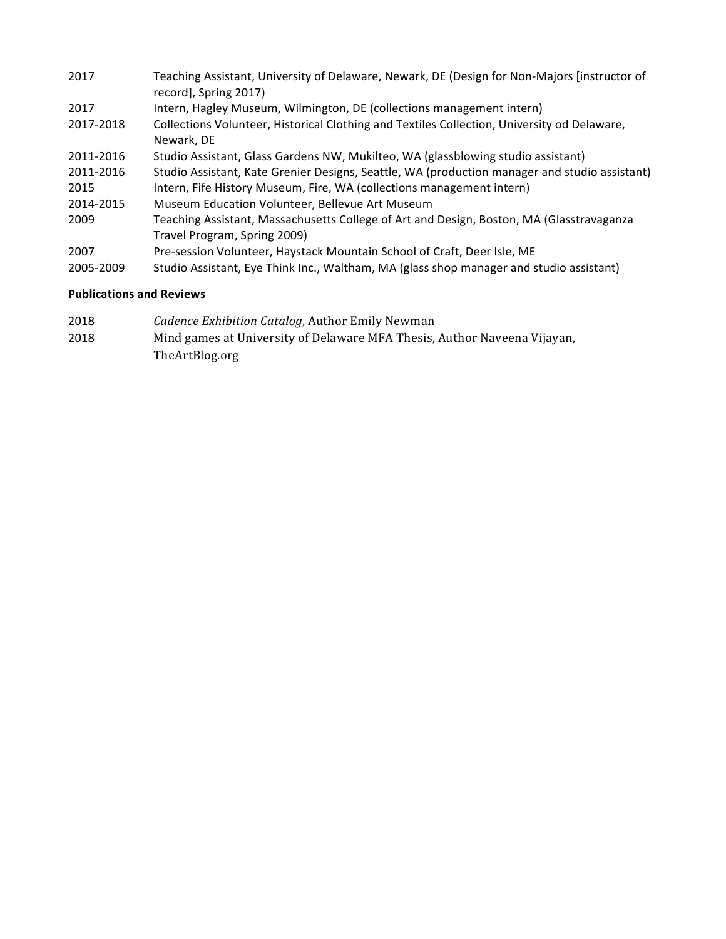| 2017      | Teaching Assistant, University of Delaware, Newark, DE (Design for Non-Majors [instructor of<br>record], Spring 2017)    |
|-----------|--------------------------------------------------------------------------------------------------------------------------|
| 2017      | Intern, Hagley Museum, Wilmington, DE (collections management intern)                                                    |
| 2017-2018 | Collections Volunteer, Historical Clothing and Textiles Collection, University od Delaware,<br>Newark, DE                |
| 2011-2016 | Studio Assistant, Glass Gardens NW, Mukilteo, WA (glassblowing studio assistant)                                         |
| 2011-2016 | Studio Assistant, Kate Grenier Designs, Seattle, WA (production manager and studio assistant)                            |
| 2015      | Intern, Fife History Museum, Fire, WA (collections management intern)                                                    |
| 2014-2015 | Museum Education Volunteer, Bellevue Art Museum                                                                          |
| 2009      | Teaching Assistant, Massachusetts College of Art and Design, Boston, MA (Glasstravaganza<br>Travel Program, Spring 2009) |
| 2007      | Pre-session Volunteer, Haystack Mountain School of Craft, Deer Isle, ME                                                  |
| 2005-2009 | Studio Assistant, Eye Think Inc., Waltham, MA (glass shop manager and studio assistant)                                  |

#### **Publications and Reviews**

- 2018 *Cadence Exhibition Catalog*, Author Emily Newman
- 2018 Mind games at University of Delaware MFA Thesis, Author Naveena Vijayan, TheArtBlog.org